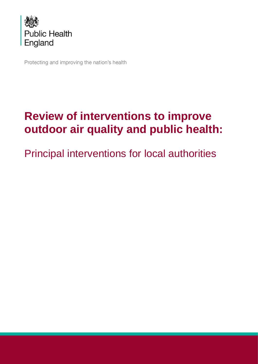

Protecting and improving the nation's health

# **Review of interventions to improve outdoor air quality and public health:**

Principal interventions for local authorities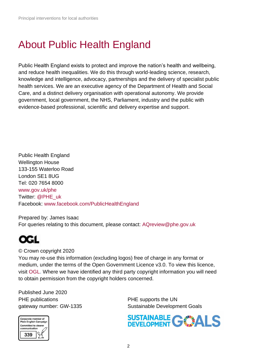# About Public Health England

Public Health England exists to protect and improve the nation's health and wellbeing, and reduce health inequalities. We do this through world-leading science, research, knowledge and intelligence, advocacy, partnerships and the delivery of specialist public health services. We are an executive agency of the Department of Health and Social Care, and a distinct delivery organisation with operational autonomy. We provide government, local government, the NHS, Parliament, industry and the public with evidence-based professional, scientific and delivery expertise and support.

Public Health England Wellington House 133-155 Waterloo Road London SE1 8UG Tel: 020 7654 8000 [www.gov.uk/phe](http://www.gov.uk/phe) Twitter: [@PHE\\_uk](https://twitter.com/PHE_uk) Facebook: [www.facebook.com/PublicHealthEngland](http://www.facebook.com/PublicHealthEngland)

Prepared by: James Isaac For queries relating to this document, please contact: [AQreview@phe.gov.uk](mailto:AQreview@phe.gov.uk)



© Crown copyright 2020

You may re-use this information (excluding logos) free of charge in any format or medium, under the terms of the Open Government Licence v3.0. To view this licence, visit [OGL.](https://www.nationalarchives.gov.uk/doc/open-government-licence/version/3/) Where we have identified any third party copyright information you will need to obtain permission from the copyright holders concerned.

Published June 2020 PHE publications **PHE** supports the UN



gateway number: GW-1335 Sustainable Development Goals

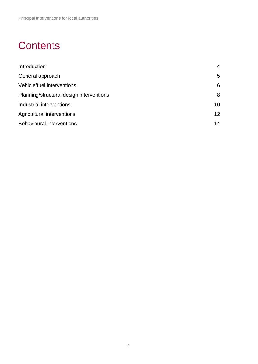## **Contents**

| Introduction                             | 4               |
|------------------------------------------|-----------------|
| General approach                         | 5               |
| Vehicle/fuel interventions               | 6               |
| Planning/structural design interventions | 8               |
| Industrial interventions                 | 10              |
| Agricultural interventions               | 12 <sup>2</sup> |
| <b>Behavioural interventions</b>         | 14              |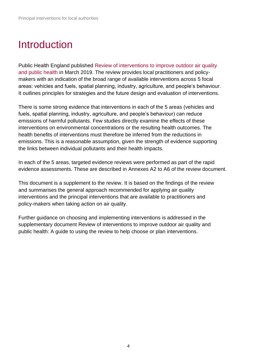### <span id="page-3-0"></span>Introduction

Public Health England published [Review of interventions to improve outdoor air quality](https://www.gov.uk/government/publications/improving-outdoor-air-quality-and-health-review-of-interventions)  [and public health](https://www.gov.uk/government/publications/improving-outdoor-air-quality-and-health-review-of-interventions) in March 2019. The review provides local practitioners and policymakers with an indication of the broad range of available interventions across 5 focal areas: vehicles and fuels, spatial planning, industry, agriculture, and people's behaviour. It outlines principles for strategies and the future design and evaluation of interventions.

There is some strong evidence that interventions in each of the 5 areas (vehicles and fuels, spatial planning, industry, agriculture, and people's behaviour) can reduce emissions of harmful pollutants. Few studies directly examine the effects of these interventions on environmental concentrations or the resulting health outcomes. The health benefits of interventions must therefore be inferred from the reductions in emissions. This is a reasonable assumption, given the strength of evidence supporting the links between individual pollutants and their health impacts.

In each of the 5 areas, targeted evidence reviews were performed as part of the rapid evidence assessments. These are described in [Annexes A2](https://app.box.com/s/kt5m8gugipky7lif3xyskjjwf3o5s1m6) to A6 of the review document.

This document is a supplement to the review. It is based on the findings of the review and summarises the general approach recommended for applying air quality interventions and the principal interventions that are available to practitioners and policy-makers when taking action on air quality.

Further guidance on choosing and implementing interventions is addressed in the supplementary document Review of interventions to improve outdoor air quality and public health: A guide to using the review to help choose or plan interventions.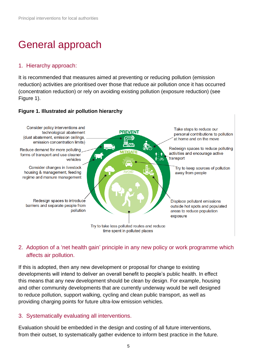# <span id="page-4-0"></span>General approach

#### 1. Hierarchy approach:

It is recommended that measures aimed at preventing or reducing pollution (emission reduction) activities are prioritised over those that reduce air pollution once it has occurred (concentration reduction) or rely on avoiding existing pollution (exposure reduction) (see Figure 1).

#### **Figure 1. Illustrated air pollution hierarchy**



### 2. Adoption of a 'net health gain' principle in any new policy or work programme which affects air pollution.

If this is adopted, then any new development or proposal for change to existing developments will intend to deliver an overall benefit to people's public health. In effect this means that any new development should be clean by design. For example, housing and other community developments that are currently underway would be well designed to reduce pollution, support walking, cycling and clean public transport, as well as providing charging points for future ultra-low emission vehicles.

#### 3. Systematically evaluating all interventions.

Evaluation should be embedded in the design and costing of all future interventions, from their outset, to systematically gather evidence to inform best practice in the future.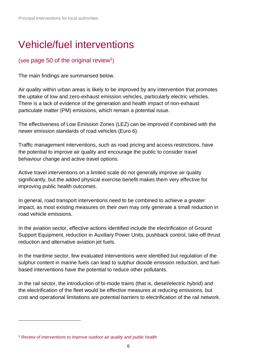# <span id="page-5-0"></span>Vehicle/fuel interventions

### (see [page 50](https://assets.publishing.service.gov.uk/government/uploads/system/uploads/attachment_data/file/795185/Review_of_interventions_to_improve_air_quality.pdf#page=50) of the original review<sup>1</sup>)

The main findings are summarised below.

Air quality within urban areas is likely to be improved by any intervention that promotes the uptake of low and zero-exhaust emission vehicles, particularly electric vehicles. There is a lack of evidence of the generation and health impact of non-exhaust particulate matter (PM) emissions, which remain a potential issue.

The effectiveness of Low Emission Zones (LEZ) can be improved if combined with the newer emission standards of road vehicles (Euro 6).

Traffic management interventions, such as road pricing and access restrictions, have the potential to improve air quality and encourage the public to consider travel behaviour change and active travel options.

Active travel interventions on a limited scale do not generally improve air quality significantly, but the added physical exercise benefit makes them very effective for improving public health outcomes.

In general, road transport interventions need to be combined to achieve a greater impact, as most existing measures on their own may only generate a small reduction in road vehicle emissions.

In the aviation sector, effective actions identified include the electrification of Ground Support Equipment, reduction in Auxiliary Power Units, pushback control, take-off thrust reduction and alternative aviation jet fuels.

In the maritime sector, few evaluated interventions were identified but regulation of the sulphur content in marine fuels can lead to sulphur dioxide emission reduction, and fuelbased interventions have the potential to reduce other pollutants.

In the rail sector, the introduction of bi-mode trains (that is, diesel/electric hybrid) and the electrification of the fleet would be effective measures at reducing emissions, but cost and operational limitations are potential barriers to electrification of the rail network.

<sup>1</sup> *[Review of interventions to improve outdoor air quality and public health](https://www.gov.uk/government/publications/improving-outdoor-air-quality-and-health-review-of-interventions)*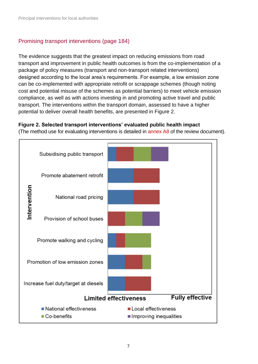### Promising transport interventions [\(page 184\)](https://assets.publishing.service.gov.uk/government/uploads/system/uploads/attachment_data/file/795185/Review_of_interventions_to_improve_air_quality.pdf#page=184)

The evidence suggests that the greatest impact on reducing emissions from road transport and improvement in public health outcomes is from the co-implementation of a package of policy measures (transport and non-transport related interventions) designed according to the local area's requirements. For example, a low emission zone can be co-implemented with appropriate retrofit or scrappage schemes (though noting cost and potential misuse of the schemes as potential barriers) to meet vehicle emission compliance, as well as with actions investing in and promoting active travel and public transport. The interventions within the transport domain, assessed to have a higher potential to deliver overall health benefits, are presented in Figure 2.

#### **Figure 2. Selected transport interventions' evaluated public health impact**

[\(The method use for evaluating interventions is detailed in annex](https://app.box.com/s/kt5m8gugipky7lif3xyskjjwf3o5s1m6/file/415286781138) A8 of the review document).

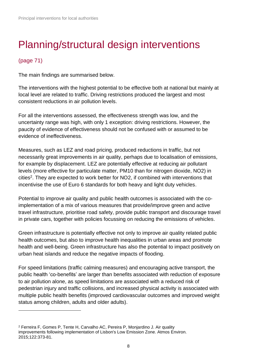## <span id="page-7-0"></span>Planning/structural design interventions

### [\(page 71\)](https://assets.publishing.service.gov.uk/government/uploads/system/uploads/attachment_data/file/795185/Review_of_interventions_to_improve_air_quality.pdf#page=71)

The main findings are summarised below.

The interventions with the highest potential to be effective both at national but mainly at local level are related to traffic. Driving restrictions produced the largest and most consistent reductions in air pollution levels.

For all the interventions assessed, the effectiveness strength was low, and the uncertainty range was high, with only 1 exception: driving restrictions. However, the paucity of evidence of effectiveness should not be confused with or assumed to be evidence of ineffectiveness.

Measures, such as LEZ and road pricing, produced reductions in traffic, but not necessarily great improvements in air quality, perhaps due to localisation of emissions, for example by displacement. LEZ are potentially effective at reducing air pollutant levels (more effective for particulate matter, PM10 than for nitrogen dioxide, NO2) in cities<sup>2</sup>. They are expected to work better for NO2, if combined with interventions that incentivise the use of Euro 6 standards for both heavy and light duty vehicles.

Potential to improve air quality and public health outcomes is associated with the coimplementation of a mix of various measures that provide/improve green and active travel infrastructure, prioritise road safety, provide public transport and discourage travel in private cars, together with policies focussing on reducing the emissions of vehicles.

Green infrastructure is potentially effective not only to improve air quality related public health outcomes, but also to improve health inequalities in urban areas and promote health and well-being. Green infrastructure has also the potential to impact positively on urban heat islands and reduce the negative impacts of flooding.

For speed limitations (traffic calming measures) and encouraging active transport, the public health 'co-benefits' are larger than benefits associated with reduction of exposure to air pollution alone, as speed limitations are associated with a reduced risk of pedestrian injury and traffic collisions, and increased physical activity is associated with multiple public health benefits (improved cardiovascular outcomes and improved weight status among children, adults and older adults).

<sup>2</sup> Ferreira F, Gomes P, Tente H, Carvalho AC, Pereira P, Monjardino J. Air quality improvements following implementation of Lisbon's Low Emission Zone. Atmos Environ. 2015;122:373-81.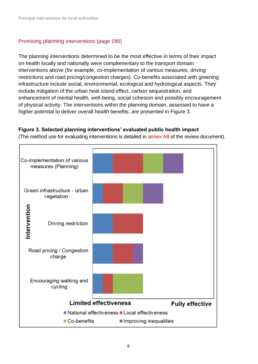#### Promising planning interventions [\(page 190\)](https://assets.publishing.service.gov.uk/government/uploads/system/uploads/attachment_data/file/795185/Review_of_interventions_to_improve_air_quality.pdf#page=190)

The planning interventions determined to be the most effective in terms of their impact on health locally and nationally were complementary to the transport domain interventions above (for example, co-implementation of various measures, driving restrictions and road pricing/congestion charges). Co-benefits associated with greening infrastructure include social, environmental, ecological and hydrological aspects. They include mitigation of the urban heat island effect, carbon sequestration, and enhancement of mental health, well-being, social cohesion and possibly encouragement of physical activity. The interventions within the planning domain, assessed to have a higher potential to deliver overall health benefits, are presented in Figure 3.

#### **Figure 3. Selected planning interventions' evaluated public health impact**

[\(The method use for evaluating interventions is detailed in annex](https://app.box.com/s/kt5m8gugipky7lif3xyskjjwf3o5s1m6/file/415286781138) A8 of the review document).

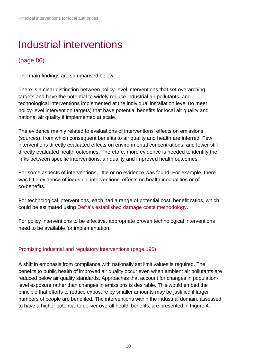## <span id="page-9-0"></span>Industrial interventions

### [\(page 86\)](https://assets.publishing.service.gov.uk/government/uploads/system/uploads/attachment_data/file/795185/Review_of_interventions_to_improve_air_quality.pdf#page=86)

The main findings are summarised below.

There is a clear distinction between policy-level interventions that set overarching targets and have the potential to widely reduce industrial air pollutants, and technological interventions implemented at the individual installation level (to meet policy-level intervention targets) that have potential benefits for local air quality and national air quality if implemented at scale.

The evidence mainly related to evaluations of interventions' effects on emissions (sources), from which consequent benefits to air quality and health are inferred. Few interventions directly evaluated effects on environmental concentrations, and fewer still directly evaluated health outcomes. Therefore, more evidence is needed to identify the links between specific interventions, air quality and improved health outcomes.

For some aspects of interventions, little or no evidence was found. For example, there was little evidence of industrial interventions' effects on health inequalities or of co-benefits.

For technological interventions, each had a range of potential cost: benefit ratios, which could be estimated using [Defra's established damage costs methodology.](https://www.gov.uk/guidance/air-quality-economic-analysis)

For policy interventions to be effective, appropriate proven technological interventions need to be available for implementation.

#### Promising industrial and regulatory interventions [\(page 196\)](https://assets.publishing.service.gov.uk/government/uploads/system/uploads/attachment_data/file/795185/Review_of_interventions_to_improve_air_quality.pdf#page=196)

A shift in emphasis from compliance with nationally set limit values is required. The benefits to public health of improved air quality occur even when ambient air pollutants are reduced below air quality standards. Approaches that account for changes in populationlevel exposure rather than changes in emissions is desirable. This would embed the principle that efforts to reduce exposure by smaller amounts may be justified if larger numbers of people are benefited. The interventions within the industrial domain, assessed to have a higher potential to deliver overall health benefits, are presented in Figure 4.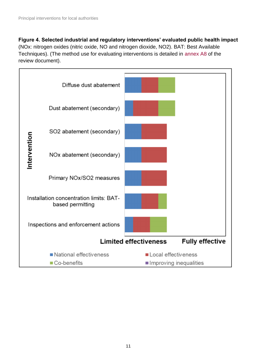**Figure 4. Selected industrial and regulatory interventions' evaluated public health impact** (NOx: nitrogen oxides (nitric oxide, NO and nitrogen dioxide, NO2). BAT: Best Available Techniques). [\(The method use for evaluating interventions is detailed in](https://app.box.com/s/kt5m8gugipky7lif3xyskjjwf3o5s1m6/file/415286781138) annex A8 of the review document).

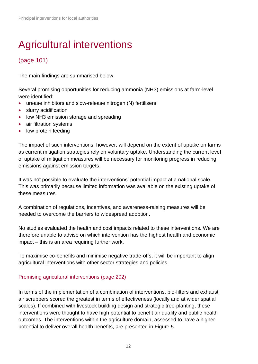# <span id="page-11-0"></span>Agricultural interventions

### [\(page 101\)](https://assets.publishing.service.gov.uk/government/uploads/system/uploads/attachment_data/file/795185/Review_of_interventions_to_improve_air_quality.pdf#page=101)

The main findings are summarised below.

Several promising opportunities for reducing ammonia (NH3) emissions at farm-level were identified:

- urease inhibitors and slow-release nitrogen (N) fertilisers
- slurry acidification
- low NH3 emission storage and spreading
- air filtration systems
- low protein feeding

The impact of such interventions, however, will depend on the extent of uptake on farms as current mitigation strategies rely on voluntary uptake. Understanding the current level of uptake of mitigation measures will be necessary for monitoring progress in reducing emissions against emission targets.

It was not possible to evaluate the interventions' potential impact at a national scale. This was primarily because limited information was available on the existing uptake of these measures.

A combination of regulations, incentives, and awareness-raising measures will be needed to overcome the barriers to widespread adoption.

No studies evaluated the health and cost impacts related to these interventions. We are therefore unable to advise on which intervention has the highest health and economic impact – this is an area requiring further work.

To maximise co-benefits and minimise negative trade-offs, it will be important to align agricultural interventions with other sector strategies and policies.

#### Promising agricultural interventions [\(page 202\)](https://assets.publishing.service.gov.uk/government/uploads/system/uploads/attachment_data/file/795185/Review_of_interventions_to_improve_air_quality.pdf#page=202)

In terms of the implementation of a combination of interventions, bio-filters and exhaust air scrubbers scored the greatest in terms of effectiveness (locally and at wider spatial scales). If combined with livestock building design and strategic tree-planting, these interventions were thought to have high potential to benefit air quality and public health outcomes. The interventions within the agriculture domain, assessed to have a higher potential to deliver overall health benefits, are presented in Figure 5.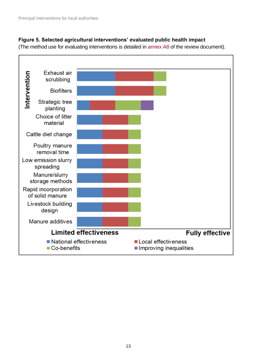#### **Figure 5. Selected agricultural interventions' evaluated public health impact**

(The method [use for evaluating interventions is detailed in](https://app.box.com/s/kt5m8gugipky7lif3xyskjjwf3o5s1m6/file/415286781138) annex A8 of the review document).

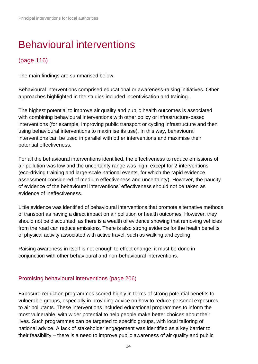# <span id="page-13-0"></span>Behavioural interventions

### [\(page 116\)](https://assets.publishing.service.gov.uk/government/uploads/system/uploads/attachment_data/file/795185/Review_of_interventions_to_improve_air_quality.pdf#page=116)

The main findings are summarised below.

Behavioural interventions comprised educational or awareness-raising initiatives. Other approaches highlighted in the studies included incentivisation and training.

The highest potential to improve air quality and public health outcomes is associated with combining behavioural interventions with other policy or infrastructure-based interventions (for example, improving public transport or cycling infrastructure and then using behavioural interventions to maximise its use). In this way, behavioural interventions can be used in parallel with other interventions and maximise their potential effectiveness.

For all the behavioural interventions identified, the effectiveness to reduce emissions of air pollution was low and the uncertainty range was high, except for 2 interventions (eco-driving training and large-scale national events, for which the rapid evidence assessment considered of medium effectiveness and uncertainty). However, the paucity of evidence of the behavioural interventions' effectiveness should not be taken as evidence of ineffectiveness.

Little evidence was identified of behavioural interventions that promote alternative methods of transport as having a direct impact on air pollution or health outcomes. However, they should not be discounted, as there is a wealth of evidence showing that removing vehicles from the road can reduce emissions. There is also strong evidence for the health benefits of physical activity associated with active travel, such as walking and cycling.

Raising awareness in itself is not enough to effect change: it must be done in conjunction with other behavioural and non-behavioural interventions.

### Promising behavioural interventions [\(page 206\)](https://assets.publishing.service.gov.uk/government/uploads/system/uploads/attachment_data/file/795185/Review_of_interventions_to_improve_air_quality.pdf#page=206)

Exposure-reduction programmes scored highly in terms of strong potential benefits to vulnerable groups, especially in providing advice on how to reduce personal exposures to air pollutants. These interventions included educational programmes to inform the most vulnerable, with wider potential to help people make better choices about their lives. Such programmes can be targeted to specific groups, with local tailoring of national advice. A lack of stakeholder engagement was identified as a key barrier to their feasibility – there is a need to improve public awareness of air quality and public